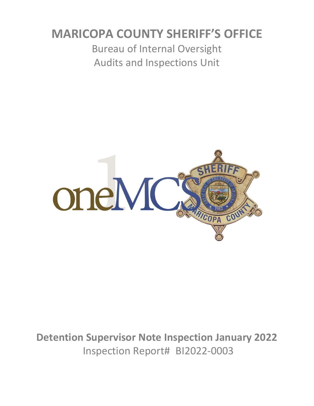# **MARICOPA COUNTY SHERIFF'S OFFICE**

Bureau of Internal Oversight Audits and Inspections Unit



**Detention Supervisor Note Inspection January 2022** Inspection Report# BI2022-0003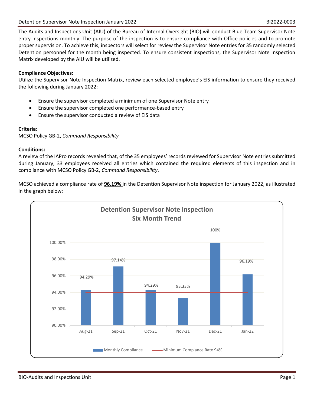The Audits and Inspections Unit (AIU) of the Bureau of Internal Oversight (BIO) will conduct Blue Team Supervisor Note entry inspections monthly. The purpose of the inspection is to ensure compliance with Office policies and to promote proper supervision. To achieve this, inspectors will select for review the Supervisor Note entries for 35 randomly selected Detention personnel for the month being inspected. To ensure consistent inspections, the Supervisor Note Inspection Matrix developed by the AIU will be utilized.

### **Compliance Objectives:**

Utilize the Supervisor Note Inspection Matrix, review each selected employee's EIS information to ensure they received the following during January 2022:

- Ensure the supervisor completed a minimum of one Supervisor Note entry
- Ensure the supervisor completed one performance-based entry
- Ensure the supervisor conducted a review of EIS data

### **Criteria:**

MCSO Policy GB-2, *Command Responsibility*

### **Conditions:**

A review of the IAPro records revealed that, of the 35 employees' records reviewed for Supervisor Note entries submitted during January, 33 employees received all entries which contained the required elements of this inspection and in compliance with MCSO Policy GB-2, *Command Responsibility*.

MCSO achieved a compliance rate of **96.19%** in the Detention Supervisor Note inspection for January 2022, as illustrated in the graph below:

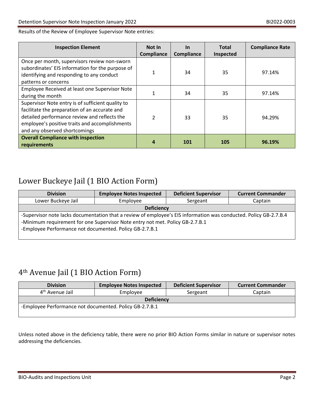Results of the Review of Employee Supervisor Note entries:

| <b>Inspection Element</b>                                                                                                                                                                                                             | Not In<br>Compliance | <u>In</u><br>Compliance | <b>Total</b><br>Inspected | <b>Compliance Rate</b> |
|---------------------------------------------------------------------------------------------------------------------------------------------------------------------------------------------------------------------------------------|----------------------|-------------------------|---------------------------|------------------------|
| Once per month, supervisors review non-sworn<br>subordinates' EIS information for the purpose of<br>identifying and responding to any conduct<br>patterns or concerns                                                                 | 1                    | 34                      | 35                        | 97.14%                 |
| Employee Received at least one Supervisor Note<br>during the month                                                                                                                                                                    | 1                    | 34                      | 35                        | 97.14%                 |
| Supervisor Note entry is of sufficient quality to<br>facilitate the preparation of an accurate and<br>detailed performance review and reflects the<br>employee's positive traits and accomplishments<br>and any observed shortcomings | $\mathfrak{p}$       | 33                      | 35                        | 94.29%                 |
| <b>Overall Compliance with inspection</b><br>requirements                                                                                                                                                                             | 4                    | <b>101</b>              | 105                       | 96.19%                 |

### Lower Buckeye Jail (1 BIO Action Form)

| <b>Division</b>                                                                                                                                                                                    | <b>Employee Notes Inspected</b> | <b>Deficient Supervisor</b> | <b>Current Commander</b> |  |  |
|----------------------------------------------------------------------------------------------------------------------------------------------------------------------------------------------------|---------------------------------|-----------------------------|--------------------------|--|--|
| Lower Buckeye Jail                                                                                                                                                                                 | Employee                        | Sergeant                    | Captain                  |  |  |
| <b>Deficiency</b>                                                                                                                                                                                  |                                 |                             |                          |  |  |
| -Supervisor note lacks documentation that a review of employee's EIS information was conducted. Policy GB-2.7.B.4<br>-Minimum requirement for one Supervisor Note entry not met. Policy GB-2.7.B.1 |                                 |                             |                          |  |  |
| -Employee Performance not documented. Policy GB-2.7.B.1                                                                                                                                            |                                 |                             |                          |  |  |

## 4th Avenue Jail (1 BIO Action Form)

| <b>Division</b>                                         | <b>Employee Notes Inspected</b> | <b>Deficient Supervisor</b> | <b>Current Commander</b> |  |  |
|---------------------------------------------------------|---------------------------------|-----------------------------|--------------------------|--|--|
| 4 <sup>th</sup> Avenue Jail                             | Employee                        | Sergeant                    | Captain                  |  |  |
| <b>Deficiency</b>                                       |                                 |                             |                          |  |  |
| -Employee Performance not documented. Policy GB-2.7.B.1 |                                 |                             |                          |  |  |

Unless noted above in the deficiency table, there were no prior BIO Action Forms similar in nature or supervisor notes addressing the deficiencies.